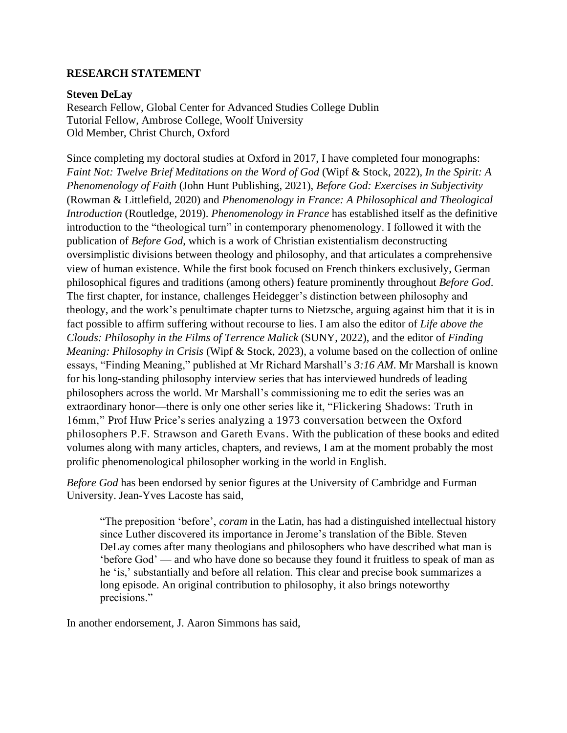# **RESEARCH STATEMENT**

#### **Steven DeLay**

Research Fellow, Global Center for Advanced Studies College Dublin Tutorial Fellow, Ambrose College, Woolf University Old Member, Christ Church, Oxford

Since completing my doctoral studies at Oxford in 2017, I have completed four monographs: *Faint Not: Twelve Brief Meditations on the Word of God* (Wipf & Stock, 2022), *In the Spirit: A Phenomenology of Faith* (John Hunt Publishing, 2021), *Before God: Exercises in Subjectivity* (Rowman & Littlefield, 2020) and *Phenomenology in France: A Philosophical and Theological Introduction* (Routledge, 2019). *Phenomenology in France* has established itself as the definitive introduction to the "theological turn" in contemporary phenomenology. I followed it with the publication of *Before God*, which is a work of Christian existentialism deconstructing oversimplistic divisions between theology and philosophy, and that articulates a comprehensive view of human existence. While the first book focused on French thinkers exclusively, German philosophical figures and traditions (among others) feature prominently throughout *Before God*. The first chapter, for instance, challenges Heidegger's distinction between philosophy and theology, and the work's penultimate chapter turns to Nietzsche, arguing against him that it is in fact possible to affirm suffering without recourse to lies. I am also the editor of *Life above the Clouds: Philosophy in the Films of Terrence Malick* (SUNY, 2022), and the editor of *Finding Meaning: Philosophy in Crisis* (Wipf & Stock, 2023), a volume based on the collection of online essays, "Finding Meaning," published at Mr Richard Marshall's *3:16 AM*. Mr Marshall is known for his long-standing philosophy interview series that has interviewed hundreds of leading philosophers across the world. Mr Marshall's commissioning me to edit the series was an extraordinary honor—there is only one other series like it, "Flickering Shadows: Truth in 16mm," Prof Huw Price's series analyzing a 1973 conversation between the Oxford philosophers P.F. Strawson and Gareth Evans. With the publication of these books and edited volumes along with many articles, chapters, and reviews, I am at the moment probably the most prolific phenomenological philosopher working in the world in English.

*Before God* has been endorsed by senior figures at the University of Cambridge and Furman University. Jean-Yves Lacoste has said,

"The preposition 'before', *coram* in the Latin, has had a distinguished intellectual history since Luther discovered its importance in Jerome's translation of the Bible. Steven DeLay comes after many theologians and philosophers who have described what man is 'before God' — and who have done so because they found it fruitless to speak of man as he 'is,' substantially and before all relation. This clear and precise book summarizes a long episode. An original contribution to philosophy, it also brings noteworthy precisions."

In another endorsement, J. Aaron Simmons has said,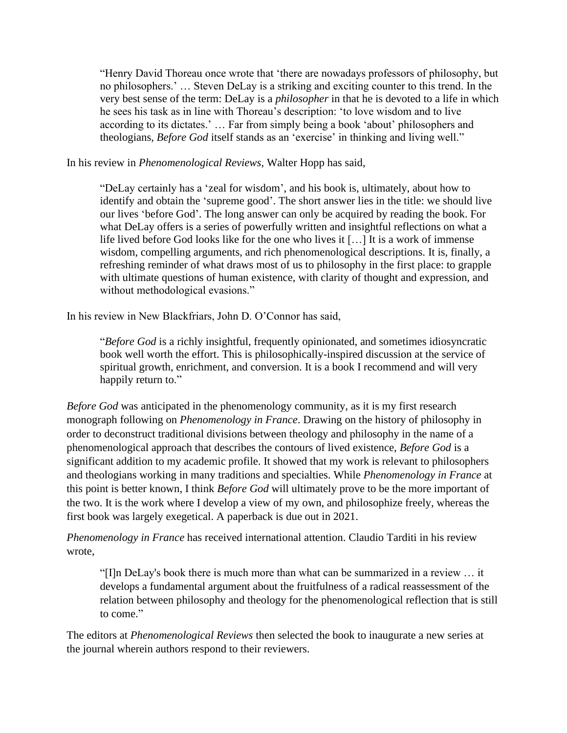"Henry David Thoreau once wrote that 'there are nowadays professors of philosophy, but no philosophers.' … Steven DeLay is a striking and exciting counter to this trend. In the very best sense of the term: DeLay is a *philosopher* in that he is devoted to a life in which he sees his task as in line with Thoreau's description: 'to love wisdom and to live according to its dictates.' … Far from simply being a book 'about' philosophers and theologians, *Before God* itself stands as an 'exercise' in thinking and living well."

In his review in *Phenomenological Reviews*, Walter Hopp has said,

"DeLay certainly has a 'zeal for wisdom', and his book is, ultimately, about how to identify and obtain the 'supreme good'. The short answer lies in the title: we should live our lives 'before God'. The long answer can only be acquired by reading the book. For what DeLay offers is a series of powerfully written and insightful reflections on what a life lived before God looks like for the one who lives it […] It is a work of immense wisdom, compelling arguments, and rich phenomenological descriptions. It is, finally, a refreshing reminder of what draws most of us to philosophy in the first place: to grapple with ultimate questions of human existence, with clarity of thought and expression, and without methodological evasions."

In his review in New Blackfriars, John D. O'Connor has said,

"*Before God* is a richly insightful, frequently opinionated, and sometimes idiosyncratic book well worth the effort. This is philosophically-inspired discussion at the service of spiritual growth, enrichment, and conversion. It is a book I recommend and will very happily return to."

*Before God* was anticipated in the phenomenology community, as it is my first research monograph following on *Phenomenology in France*. Drawing on the history of philosophy in order to deconstruct traditional divisions between theology and philosophy in the name of a phenomenological approach that describes the contours of lived existence, *Before God* is a significant addition to my academic profile. It showed that my work is relevant to philosophers and theologians working in many traditions and specialties. While *Phenomenology in France* at this point is better known, I think *Before God* will ultimately prove to be the more important of the two. It is the work where I develop a view of my own, and philosophize freely, whereas the first book was largely exegetical. A paperback is due out in 2021.

*Phenomenology in France* has received international attention. Claudio Tarditi in his review wrote,

"[I]n DeLay's book there is much more than what can be summarized in a review … it develops a fundamental argument about the fruitfulness of a radical reassessment of the relation between philosophy and theology for the phenomenological reflection that is still to come."

The editors at *Phenomenological Reviews* then selected the book to inaugurate a new series at the journal wherein authors respond to their reviewers.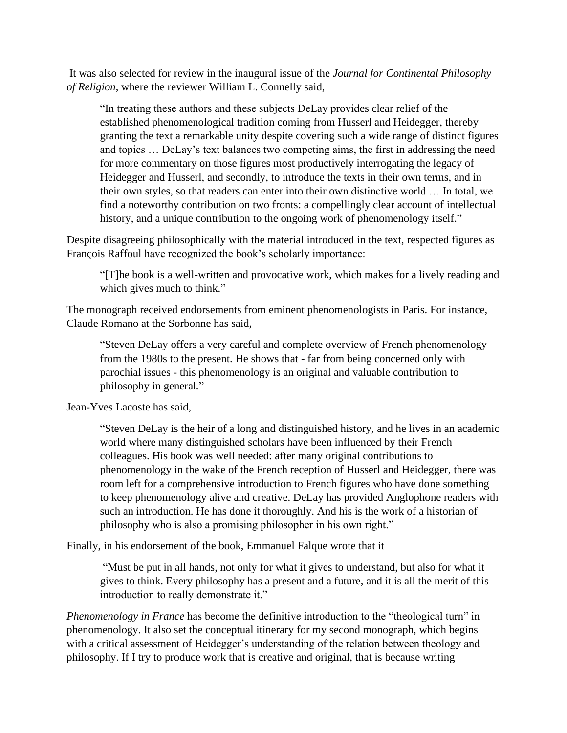It was also selected for review in the inaugural issue of the *Journal for Continental Philosophy of Religion*, where the reviewer William L. Connelly said,

"In treating these authors and these subjects DeLay provides clear relief of the established phenomenological tradition coming from Husserl and Heidegger, thereby granting the text a remarkable unity despite covering such a wide range of distinct figures and topics … DeLay's text balances two competing aims, the first in addressing the need for more commentary on those figures most productively interrogating the legacy of Heidegger and Husserl, and secondly, to introduce the texts in their own terms, and in their own styles, so that readers can enter into their own distinctive world … In total, we find a noteworthy contribution on two fronts: a compellingly clear account of intellectual history, and a unique contribution to the ongoing work of phenomenology itself."

Despite disagreeing philosophically with the material introduced in the text, respected figures as François Raffoul have recognized the book's scholarly importance:

"[T]he book is a well-written and provocative work, which makes for a lively reading and which gives much to think."

The monograph received endorsements from eminent phenomenologists in Paris. For instance, Claude Romano at the Sorbonne has said,

"Steven DeLay offers a very careful and complete overview of French phenomenology from the 1980s to the present. He shows that - far from being concerned only with parochial issues - this phenomenology is an original and valuable contribution to philosophy in general*.*"

Jean-Yves Lacoste has said,

"Steven DeLay is the heir of a long and distinguished history, and he lives in an academic world where many distinguished scholars have been influenced by their French colleagues. His book was well needed: after many original contributions to phenomenology in the wake of the French reception of Husserl and Heidegger, there was room left for a comprehensive introduction to French figures who have done something to keep phenomenology alive and creative. DeLay has provided Anglophone readers with such an introduction. He has done it thoroughly. And his is the work of a historian of philosophy who is also a promising philosopher in his own right."

Finally, in his endorsement of the book, Emmanuel Falque wrote that it

"Must be put in all hands, not only for what it gives to understand, but also for what it gives to think. Every philosophy has a present and a future, and it is all the merit of this introduction to really demonstrate it."

*Phenomenology in France* has become the definitive introduction to the "theological turn" in phenomenology. It also set the conceptual itinerary for my second monograph, which begins with a critical assessment of Heidegger's understanding of the relation between theology and philosophy. If I try to produce work that is creative and original, that is because writing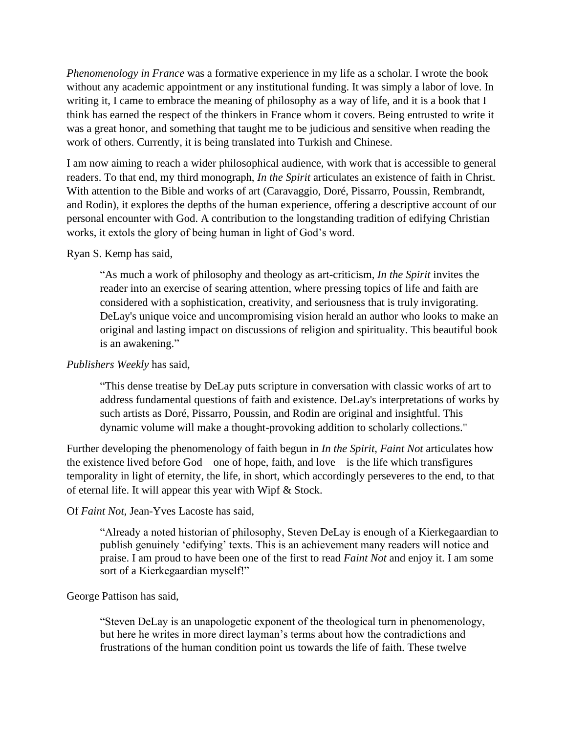*Phenomenology in France* was a formative experience in my life as a scholar. I wrote the book without any academic appointment or any institutional funding. It was simply a labor of love. In writing it, I came to embrace the meaning of philosophy as a way of life, and it is a book that I think has earned the respect of the thinkers in France whom it covers. Being entrusted to write it was a great honor, and something that taught me to be judicious and sensitive when reading the work of others. Currently, it is being translated into Turkish and Chinese.

I am now aiming to reach a wider philosophical audience, with work that is accessible to general readers. To that end, my third monograph, *In the Spirit* articulates an existence of faith in Christ. With attention to the Bible and works of art (Caravaggio, Doré, Pissarro, Poussin, Rembrandt, and Rodin), it explores the depths of the human experience, offering a descriptive account of our personal encounter with God. A contribution to the longstanding tradition of edifying Christian works, it extols the glory of being human in light of God's word.

# Ryan S. Kemp has said,

"As much a work of philosophy and theology as art-criticism, *In the Spirit* invites the reader into an exercise of searing attention, where pressing topics of life and faith are considered with a sophistication, creativity, and seriousness that is truly invigorating. DeLay's unique voice and uncompromising vision herald an author who looks to make an original and lasting impact on discussions of religion and spirituality. This beautiful book is an awakening."

# *Publishers Weekly* has said,

"This dense treatise by DeLay puts scripture in conversation with classic works of art to address fundamental questions of faith and existence. DeLay's interpretations of works by such artists as Doré, Pissarro, Poussin, and Rodin are original and insightful. This dynamic volume will make a thought-provoking addition to scholarly collections."

Further developing the phenomenology of faith begun in *In the Spirit*, *Faint Not* articulates how the existence lived before God—one of hope, faith, and love—is the life which transfigures temporality in light of eternity, the life, in short, which accordingly perseveres to the end, to that of eternal life. It will appear this year with Wipf & Stock.

# Of *Faint Not*, Jean-Yves Lacoste has said,

"Already a noted historian of philosophy, Steven DeLay is enough of a Kierkegaardian to publish genuinely 'edifying' texts. This is an achievement many readers will notice and praise. I am proud to have been one of the first to read *Faint Not* and enjoy it. I am some sort of a Kierkegaardian myself!"

#### George Pattison has said,

"Steven DeLay is an unapologetic exponent of the theological turn in phenomenology, but here he writes in more direct layman's terms about how the contradictions and frustrations of the human condition point us towards the life of faith. These twelve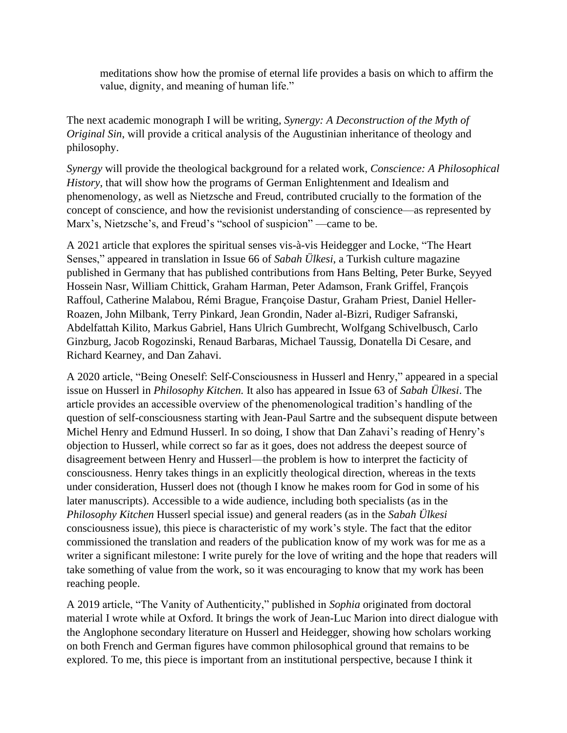meditations show how the promise of eternal life provides a basis on which to affirm the value, dignity, and meaning of human life."

The next academic monograph I will be writing, *Synergy: A Deconstruction of the Myth of Original Sin*, will provide a critical analysis of the Augustinian inheritance of theology and philosophy.

*Synergy* will provide the theological background for a related work, *Conscience: A Philosophical History*, that will show how the programs of German Enlightenment and Idealism and phenomenology, as well as Nietzsche and Freud, contributed crucially to the formation of the concept of conscience, and how the revisionist understanding of conscience—as represented by Marx's, Nietzsche's, and Freud's "school of suspicion" —came to be.

A 2021 article that explores the spiritual senses vis-à-vis Heidegger and Locke, "The Heart Senses," appeared in translation in Issue 66 of *Sabah Ülkesi*, a Turkish culture magazine published in Germany that has published contributions from Hans Belting, Peter Burke, Seyyed Hossein Nasr, William Chittick, Graham Harman, Peter Adamson, Frank Griffel, François Raffoul, Catherine Malabou, Rémi Brague, Françoise Dastur, Graham Priest, Daniel Heller-Roazen, John Milbank, Terry Pinkard, Jean Grondin, Nader al-Bizri, Rudiger Safranski, Abdelfattah Kilito, Markus Gabriel, Hans Ulrich Gumbrecht, Wolfgang Schivelbusch, Carlo Ginzburg, Jacob Rogozinski, Renaud Barbaras, Michael Taussig, Donatella Di Cesare, and Richard Kearney, and Dan Zahavi.

A 2020 article, "Being Oneself: Self-Consciousness in Husserl and Henry," appeared in a special issue on Husserl in *Philosophy Kitchen.* It also has appeared in Issue 63 of *Sabah Ülkesi*. The article provides an accessible overview of the phenomenological tradition's handling of the question of self-consciousness starting with Jean-Paul Sartre and the subsequent dispute between Michel Henry and Edmund Husserl. In so doing, I show that Dan Zahavi's reading of Henry's objection to Husserl, while correct so far as it goes, does not address the deepest source of disagreement between Henry and Husserl—the problem is how to interpret the facticity of consciousness. Henry takes things in an explicitly theological direction, whereas in the texts under consideration, Husserl does not (though I know he makes room for God in some of his later manuscripts). Accessible to a wide audience, including both specialists (as in the *Philosophy Kitchen* Husserl special issue) and general readers (as in the *Sabah Ülkesi*  consciousness issue), this piece is characteristic of my work's style. The fact that the editor commissioned the translation and readers of the publication know of my work was for me as a writer a significant milestone: I write purely for the love of writing and the hope that readers will take something of value from the work, so it was encouraging to know that my work has been reaching people.

A 2019 article, "The Vanity of Authenticity," published in *Sophia* originated from doctoral material I wrote while at Oxford. It brings the work of Jean-Luc Marion into direct dialogue with the Anglophone secondary literature on Husserl and Heidegger, showing how scholars working on both French and German figures have common philosophical ground that remains to be explored. To me, this piece is important from an institutional perspective, because I think it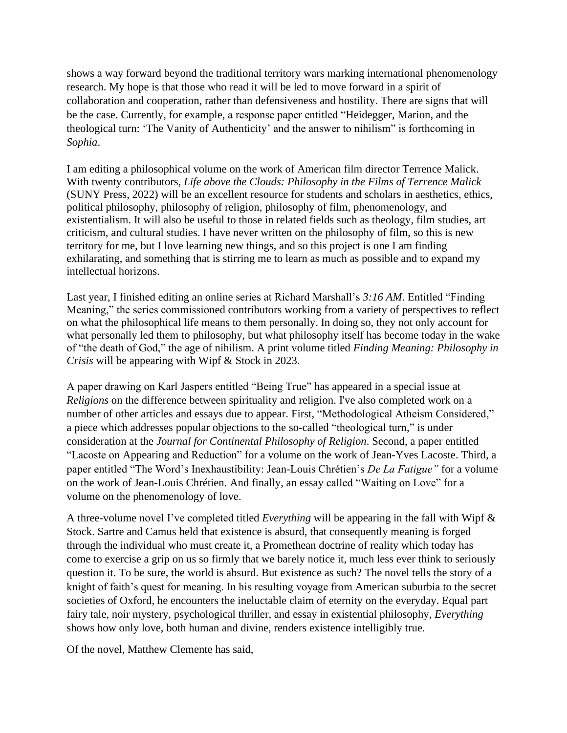shows a way forward beyond the traditional territory wars marking international phenomenology research. My hope is that those who read it will be led to move forward in a spirit of collaboration and cooperation, rather than defensiveness and hostility. There are signs that will be the case. Currently, for example, a response paper entitled "Heidegger, Marion, and the theological turn: 'The Vanity of Authenticity' and the answer to nihilism" is forthcoming in *Sophia*.

I am editing a philosophical volume on the work of American film director Terrence Malick. With twenty contributors, *Life above the Clouds: Philosophy in the Films of Terrence Malick* (SUNY Press, 2022) will be an excellent resource for students and scholars in aesthetics, ethics, political philosophy, philosophy of religion, philosophy of film, phenomenology, and existentialism. It will also be useful to those in related fields such as theology, film studies, art criticism, and cultural studies. I have never written on the philosophy of film, so this is new territory for me, but I love learning new things, and so this project is one I am finding exhilarating, and something that is stirring me to learn as much as possible and to expand my intellectual horizons.

Last year, I finished editing an online series at Richard Marshall's *3:16 AM*. Entitled "Finding Meaning," the series commissioned contributors working from a variety of perspectives to reflect on what the philosophical life means to them personally. In doing so, they not only account for what personally led them to philosophy, but what philosophy itself has become today in the wake of "the death of God," the age of nihilism. A print volume titled *Finding Meaning: Philosophy in Crisis* will be appearing with Wipf & Stock in 2023.

A paper drawing on Karl Jaspers entitled "Being True" has appeared in a special issue at *Religions* on the difference between spirituality and religion. I've also completed work on a number of other articles and essays due to appear. First, "Methodological Atheism Considered," a piece which addresses popular objections to the so-called "theological turn," is under consideration at the *Journal for Continental Philosophy of Religion*. Second, a paper entitled "Lacoste on Appearing and Reduction" for a volume on the work of Jean-Yves Lacoste. Third, a paper entitled "The Word's Inexhaustibility: Jean-Louis Chrétien's *De La Fatigue"* for a volume on the work of Jean-Louis Chrétien. And finally, an essay called "Waiting on Love" for a volume on the phenomenology of love.

A three-volume novel I've completed titled *Everything* will be appearing in the fall with Wipf & Stock. Sartre and Camus held that existence is absurd, that consequently meaning is forged through the individual who must create it, a Promethean doctrine of reality which today has come to exercise a grip on us so firmly that we barely notice it, much less ever think to seriously question it. To be sure, the world is absurd. But existence as such? The novel tells the story of a knight of faith's quest for meaning. In his resulting voyage from American suburbia to the secret societies of Oxford, he encounters the ineluctable claim of eternity on the everyday. Equal part fairy tale, noir mystery, psychological thriller, and essay in existential philosophy, *Everything* shows how only love, both human and divine, renders existence intelligibly true.

Of the novel, Matthew Clemente has said,